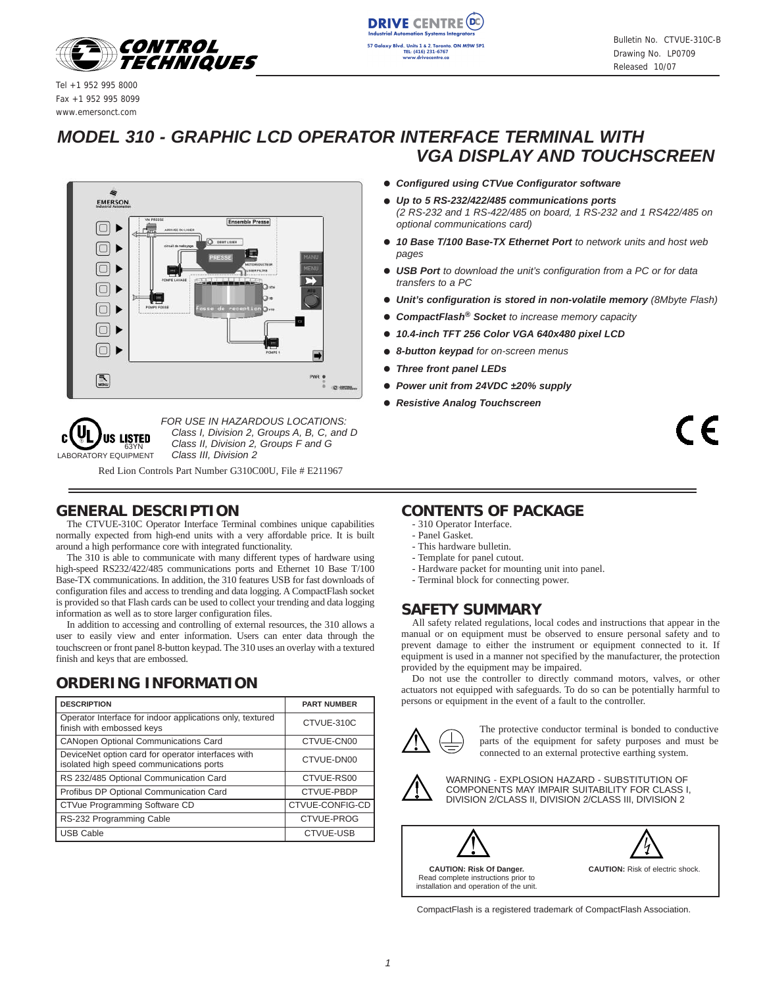

**DRIVE CENTRE** TEL: (416) 231-6767

Tel +1 952 995 8000 Fax +1 952 995 8099 www.emersonct.com

# *MODEL 310 - GRAPHIC LCD OPERATOR INTERFACE TERMINAL WITH VGA DISPLAY AND TOUCHSCREEN*





*FOR USE IN HAZARDOUS LOCATIONS: Class I, Division 2, Groups A, B, C, and D Class II, Division 2, Groups F and G Class III, Division 2* 

Red Lion Controls Part Number G310C00U, File # E211967

# **GENERAL DESCRIPTION**

The CTVUE-310C Operator Interface Terminal combines unique capabilities normally expected from high-end units with a very affordable price. It is built around a high performance core with integrated functionality.

The 310 is able to communicate with many different types of hardware using high-speed RS232/422/485 communications ports and Ethernet 10 Base T/100 Base-TX communications. In addition, the 310 features USB for fast downloads of configuration files and access to trending and data logging. A CompactFlash socket is provided so that Flash cards can be used to collect your trending and data logging information as well as to store larger configuration files.

In addition to accessing and controlling of external resources, the 310 allows a user to easily view and enter information. Users can enter data through the touchscreen or front panel 8-button keypad. The 310 uses an overlay with a textured finish and keys that are embossed.

# **ORDERING INFORMATION**

| <b>DESCRIPTION</b>                                                                             | <b>PART NUMBER</b> |
|------------------------------------------------------------------------------------------------|--------------------|
| Operator Interface for indoor applications only, textured<br>finish with embossed keys         | CTVUE-310C         |
| <b>CANopen Optional Communications Card</b>                                                    | CTVUE-CN00         |
| DeviceNet option card for operator interfaces with<br>isolated high speed communications ports | CTVUE-DN00         |
| RS 232/485 Optional Communication Card                                                         | CTVUE-RS00         |
| Profibus DP Optional Communication Card                                                        | CTVUE-PBDP         |
| CTVue Programming Software CD                                                                  | CTVUE-CONFIG-CD    |
| RS-232 Programming Cable                                                                       | CTVUE-PROG         |
| <b>USB Cable</b>                                                                               | <b>CTVUE-USB</b>   |

#### ! *Configured using CTVue Configurator software*

- ! *Up to 5 RS-232/422/485 communications ports (2 RS-232 and 1 RS-422/485 on board, 1 RS-232 and 1 RS422/485 on optional communications card)*
- ! *10 Base T/100 Base-TX Ethernet Port to network units and host web pages*
- ! *USB Port to download the unit's configuration from a PC or for data transfers to a PC*
- ! *Unit's configuration is stored in non-volatile memory (8Mbyte Flash)*
- ! *CompactFlash® Socket to increase memory capacity*
- ! *10.4-inch TFT 256 Color VGA 640x480 pixel LCD*
- ! *8-button keypad for on-screen menus*
- ! *Three front panel LEDs*
- ! *Power unit from 24VDC ±20% supply*
- ! *Resistive Analog Touchscreen*

 $\epsilon$ 

#### **CONTENTS OF PACKAGE**

- 310 Operator Interface.
- Panel Gasket.
- This hardware bulletin.
- Template for panel cutout.
- Hardware packet for mounting unit into panel.
- Terminal block for connecting power.

#### **SAFETY SUMMARY**

All safety related regulations, local codes and instructions that appear in the manual or on equipment must be observed to ensure personal safety and to prevent damage to either the instrument or equipment connected to it. If equipment is used in a manner not specified by the manufacturer, the protection provided by the equipment may be impaired.

Do not use the controller to directly command motors, valves, or other actuators not equipped with safeguards. To do so can be potentially harmful to persons or equipment in the event of a fault to the controller.



The protective conductor terminal is bonded to conductive parts of the equipment for safety purposes and must be connected to an external protective earthing system.



WARNING - EXPLOSION HAZARD - SUBSTITUTION OF COMPONENTS MAY IMPAIR SUITABILITY FOR CLASS I, DIVISION 2/CLASS II, DIVISION 2/CLASS III, DIVISION 2

**CAUTION: Risk Of Danger.** Read complete instructions prior to installation and operation of the unit.



CompactFlash is a registered trademark of CompactFlash Association.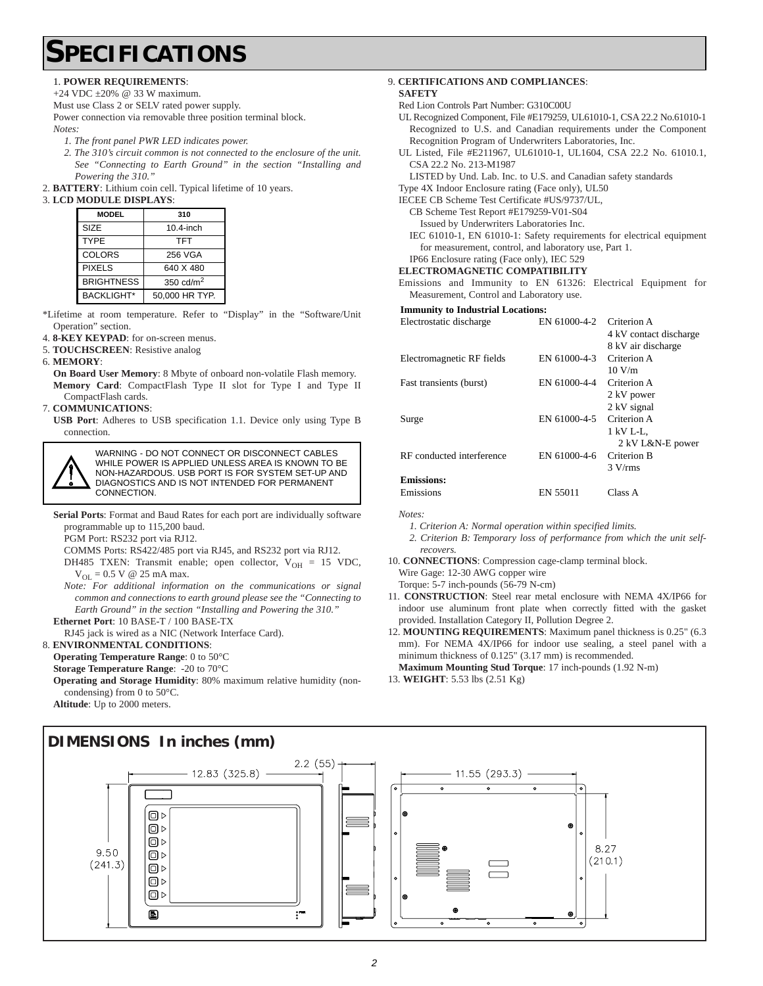# **SPECIFICATIONS**

#### 1. **POWER REQUIREMENTS**:

+24 VDC ±20% @ 33 W maximum.

Must use Class 2 or SELV rated power supply.

Power connection via removable three position terminal block. *Notes:* 

- *1. The front panel PWR LED indicates power.*
- *2. The 310's circuit common is not connected to the enclosure of the unit. See "Connecting to Earth Ground" in the section "Installing and Powering the 310."*
- 2. **BATTERY**: Lithium coin cell. Typical lifetime of 10 years.

#### 3. **LCD MODULE DISPLAYS**:

| <b>MODEL</b>      | 310            |
|-------------------|----------------|
| SIZE              | 10.4-inch      |
| TYPE              | <b>TFT</b>     |
| COLORS            | 256 VGA        |
| <b>PIXELS</b>     | 640 X 480      |
| <b>BRIGHTNESS</b> | 350 $cd/m2$    |
| BACKLIGHT*        | 50,000 HR TYP. |

- \*Lifetime at room temperature. Refer to "Display" in the "Software/Unit Operation" section.
- 4. **8-KEY KEYPAD**: for on-screen menus.
- 5. **TOUCHSCREEN**: Resistive analog
- 6. **MEMORY**:

**On Board User Memory**: 8 Mbyte of onboard non-volatile Flash memory. **Memory Card**: CompactFlash Type II slot for Type I and Type II CompactFlash cards.

7. **COMMUNICATIONS**:

**USB Port**: Adheres to USB specification 1.1. Device only using Type B connection.

WARNING - DO NOT CONNECT OR DISCONNECT CABLES WHILE POWER IS APPLIED UNLESS AREA IS KNOWN TO BE NON-HAZARDOUS. USB PORT IS FOR SYSTEM SET-UP AND DIAGNOSTICS AND IS NOT INTENDED FOR PERMANENT CONNECTION.

**Serial Ports**: Format and Baud Rates for each port are individually software programmable up to 115,200 baud.

PGM Port: RS232 port via RJ12.

- COMMS Ports: RS422/485 port via RJ45, and RS232 port via RJ12.
- DH485 TXEN: Transmit enable; open collector,  $V_{OH} = 15$  VDC,  $V_{OL} = 0.5$  V @ 25 mA max.

*Note: For additional information on the communications or signal common and connections to earth ground please see the "Connecting to Earth Ground" in the section "Installing and Powering the 310."* **Ethernet Port**: 10 BASE-T / 100 BASE-TX

RJ45 jack is wired as a NIC (Network Interface Card).

#### 8. **ENVIRONMENTAL CONDITIONS**:

**Operating Temperature Range**: 0 to 50°C

**Storage Temperature Range**: -20 to 70°C

**Operating and Storage Humidity**: 80% maximum relative humidity (noncondensing) from 0 to 50°C.

**Altitude**: Up to 2000 meters.

#### 9. **CERTIFICATIONS AND COMPLIANCES**:

- **SAFETY** Red Lion Controls Part Number: G310C00U
- UL Recognized Component, File #E179259, UL61010-1, CSA 22.2 No.61010-1 Recognized to U.S. and Canadian requirements under the Component Recognition Program of Underwriters Laboratories, Inc.
- UL Listed, File #E211967, UL61010-1, UL1604, CSA 22.2 No. 61010.1, CSA 22.2 No. 213-M1987

LISTED by Und. Lab. Inc. to U.S. and Canadian safety standards

- Type 4X Indoor Enclosure rating (Face only), UL50
- IECEE CB Scheme Test Certificate #US/9737/UL,
	- CB Scheme Test Report #E179259-V01-S04

Issued by Underwriters Laboratories Inc.

IEC 61010-1, EN 61010-1: Safety requirements for electrical equipment for measurement, control, and laboratory use, Part 1.

#### IP66 Enclosure rating (Face only), IEC 529 **ELECTROMAGNETIC COMPATIBILITY**

Emissions and Immunity to EN 61326: Electrical Equipment for Measurement, Control and Laboratory use.

#### **Immunity to Industrial Locations:**

| Electrostatic discharge   | EN 61000-4-2 | Criterion A            |
|---------------------------|--------------|------------------------|
|                           |              | 4 kV contact discharge |
|                           |              | 8 kV air discharge     |
| Electromagnetic RF fields | EN 61000-4-3 | Criterion A            |
|                           |              | 10 V/m                 |
| Fast transients (burst)   | EN 61000-4-4 | Criterion A            |
|                           |              | 2 kV power             |
|                           |              | 2 kV signal            |
| Surge                     | EN 61000-4-5 | Criterion A            |
|                           |              | 1 kV L-L,              |
|                           |              | 2 kV L&N-E power       |
| RF conducted interference | EN 61000-4-6 | Criterion B            |
|                           |              | 3 V/rms                |
| <b>Emissions:</b>         |              |                        |
| Emissions                 | EN 55011     | Class A                |

*Notes:*

*1. Criterion A: Normal operation within specified limits.*

*2. Criterion B: Temporary loss of performance from which the unit selfrecovers.*

10. **CONNECTIONS**: Compression cage-clamp terminal block.

Wire Gage: 12-30 AWG copper wire Torque: 5-7 inch-pounds (56-79 N-cm)

- 11. **CONSTRUCTION**: Steel rear metal enclosure with NEMA 4X/IP66 for indoor use aluminum front plate when correctly fitted with the gasket provided. Installation Category II, Pollution Degree 2.
- 12. **MOUNTING REQUIREMENTS**: Maximum panel thickness is 0.25" (6.3 mm). For NEMA 4X/IP66 for indoor use sealing, a steel panel with a minimum thickness of 0.125" (3.17 mm) is recommended.

**Maximum Mounting Stud Torque**: 17 inch-pounds (1.92 N-m)

13. **WEIGHT**: 5.53 lbs (2.51 Kg)

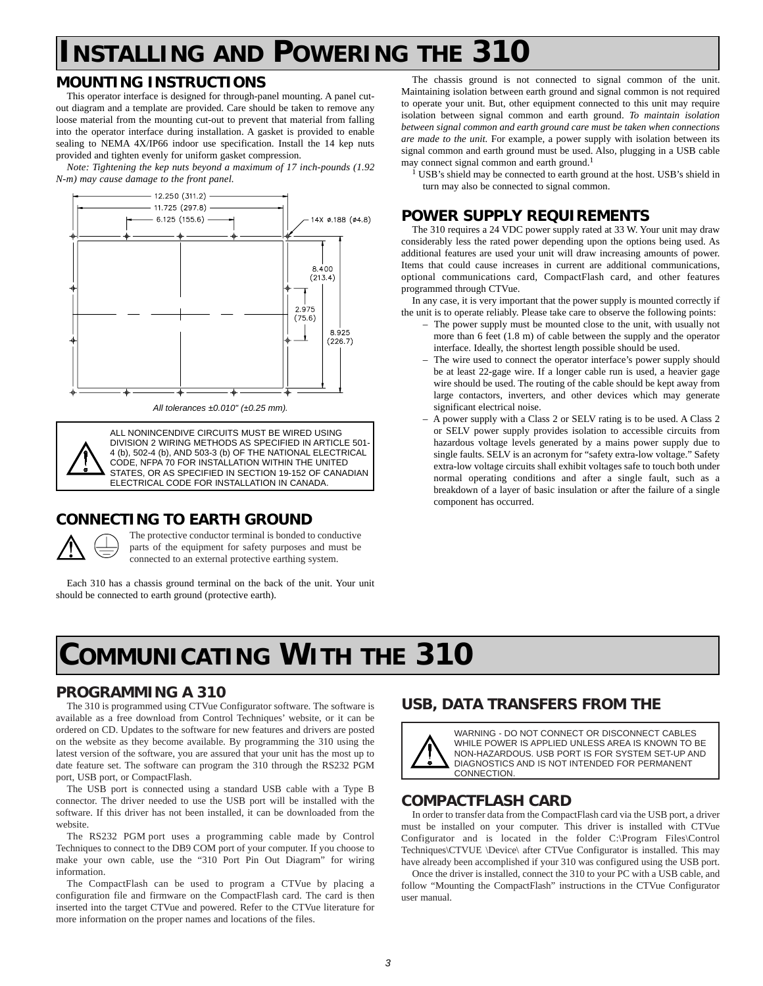# **INSTALLING AND POWERING THE 310**

## **MOUNTING INSTRUCTIONS**

This operator interface is designed for through-panel mounting. A panel cutout diagram and a template are provided. Care should be taken to remove any loose material from the mounting cut-out to prevent that material from falling into the operator interface during installation. A gasket is provided to enable sealing to NEMA 4X/IP66 indoor use specification. Install the 14 kep nuts provided and tighten evenly for uniform gasket compression.

*Note: Tightening the kep nuts beyond a maximum of 17 inch-pounds (1.92 N-m) may cause damage to the front panel.*



*All tolerances ±0.010" (±0.25 mm).*

ALL NONINCENDIVE CIRCUITS MUST BE WIRED USING DIVISION 2 WIRING METHODS AS SPECIFIED IN ARTICLE 501- 4 (b), 502-4 (b), AND 503-3 (b) OF THE NATIONAL ELECTRICAL CODE, NFPA 70 FOR INSTALLATION WITHIN THE UNITED STATES, OR AS SPECIFIED IN SECTION 19-152 OF CANADIAN ELECTRICAL CODE FOR INSTALLATION IN CANADA.

## **CONNECTING TO EARTH GROUND**



The protective conductor terminal is bonded to conductive parts of the equipment for safety purposes and must be connected to an external protective earthing system.

Each 310 has a chassis ground terminal on the back of the unit. Your unit should be connected to earth ground (protective earth).

The chassis ground is not connected to signal common of the unit. Maintaining isolation between earth ground and signal common is not required to operate your unit. But, other equipment connected to this unit may require isolation between signal common and earth ground. *To maintain isolation between signal common and earth ground care must be taken when connections are made to the unit.* For example, a power supply with isolation between its signal common and earth ground must be used. Also, plugging in a USB cable may connect signal common and earth ground.<sup>1</sup>

<sup>1</sup> USB's shield may be connected to earth ground at the host. USB's shield in turn may also be connected to signal common.

## **POWER SUPPLY REQUIREMENTS**

The 310 requires a 24 VDC power supply rated at 33 W. Your unit may draw considerably less the rated power depending upon the options being used. As additional features are used your unit will draw increasing amounts of power. Items that could cause increases in current are additional communications, optional communications card, CompactFlash card, and other features programmed through CTVue.

In any case, it is very important that the power supply is mounted correctly if the unit is to operate reliably. Please take care to observe the following points:

- The power supply must be mounted close to the unit, with usually not more than 6 feet (1.8 m) of cable between the supply and the operator interface. Ideally, the shortest length possible should be used.
- The wire used to connect the operator interface's power supply should be at least 22-gage wire. If a longer cable run is used, a heavier gage wire should be used. The routing of the cable should be kept away from large contactors, inverters, and other devices which may generate significant electrical noise.
- A power supply with a Class 2 or SELV rating is to be used. A Class 2 or SELV power supply provides isolation to accessible circuits from hazardous voltage levels generated by a mains power supply due to single faults. SELV is an acronym for "safety extra-low voltage." Safety extra-low voltage circuits shall exhibit voltages safe to touch both under normal operating conditions and after a single fault, such as a breakdown of a layer of basic insulation or after the failure of a single component has occurred.

# **COMMUNICATING WITH THE 310**

#### **PROGRAMMING A 310**

The 310 is programmed using CTVue Configurator software. The software is available as a free download from Control Techniques' website, or it can be ordered on CD. Updates to the software for new features and drivers are posted on the website as they become available. By programming the 310 using the latest version of the software, you are assured that your unit has the most up to date feature set. The software can program the 310 through the RS232 PGM port, USB port, or CompactFlash.

The USB port is connected using a standard USB cable with a Type B connector. The driver needed to use the USB port will be installed with the software. If this driver has not been installed, it can be downloaded from the website.

The RS232 PGM port uses a programming cable made by Control Techniques to connect to the DB9 COM port of your computer. If you choose to make your own cable, use the "310 Port Pin Out Diagram" for wiring information.

The CompactFlash can be used to program a CTVue by placing a configuration file and firmware on the CompactFlash card. The card is then inserted into the target CTVue and powered. Refer to the CTVue literature for more information on the proper names and locations of the files.

## **USB, DATA TRANSFERS FROM THE**



WARNING - DO NOT CONNECT OR DISCONNECT CABLES WHILE POWER IS APPLIED UNLESS AREA IS KNOWN TO BE NON-HAZARDOUS. USB PORT IS FOR SYSTEM SET-UP AND DIAGNOSTICS AND IS NOT INTENDED FOR PERMANENT CONNECTION.

#### **COMPACTFLASH CARD**

In order to transfer data from the CompactFlash card via the USB port, a driver must be installed on your computer. This driver is installed with CTVue Configurator and is located in the folder C:\Program Files\Control Techniques\CTVUE \Device\ after CTVue Configurator is installed. This may have already been accomplished if your 310 was configured using the USB port.

Once the driver is installed, connect the 310 to your PC with a USB cable, and follow "Mounting the CompactFlash" instructions in the CTVue Configurator user manual.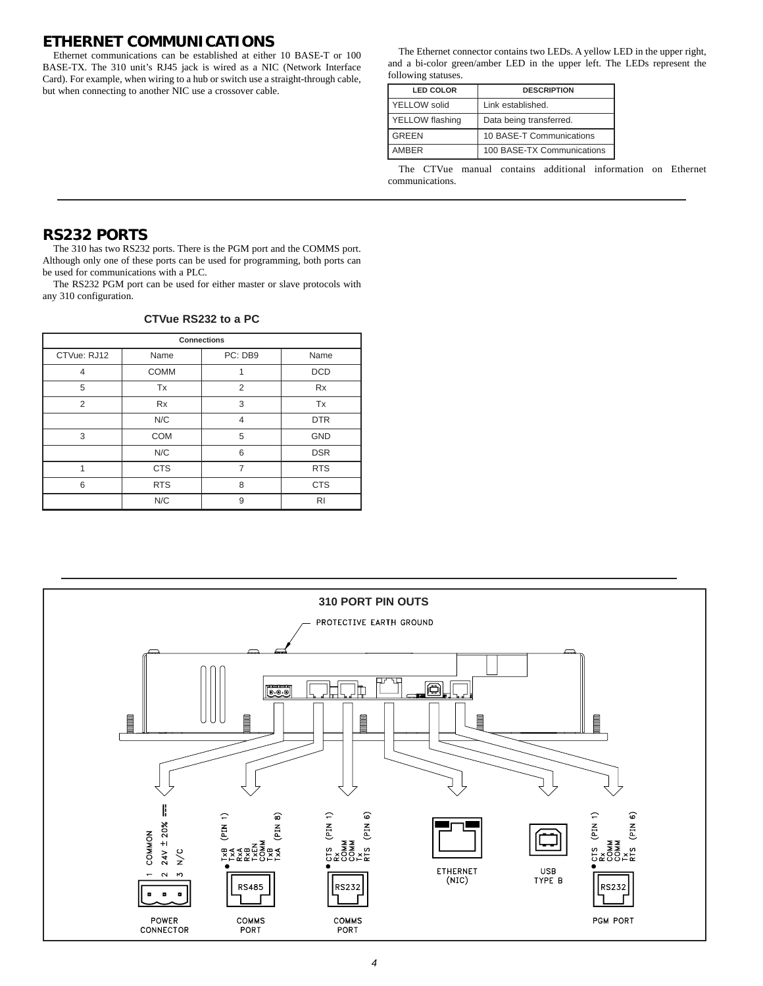#### **ETHERNET COMMUNICATIONS**

Ethernet communications can be established at either 10 BASE-T or 100 BASE-TX. The 310 unit's RJ45 jack is wired as a NIC (Network Interface Card). For example, when wiring to a hub or switch use a straight-through cable, but when connecting to another NIC use a crossover cable.

The Ethernet connector contains two LEDs. A yellow LED in the upper right, and a bi-color green/amber LED in the upper left. The LEDs represent the following statuses.

| <b>LED COLOR</b>    | <b>DESCRIPTION</b>         |
|---------------------|----------------------------|
| <b>YELLOW</b> solid | Link established.          |
| YELLOW flashing     | Data being transferred.    |
| <b>GREEN</b>        | 10 BASE-T Communications   |
| AMBER               | 100 BASE-TX Communications |

The CTVue manual contains additional information on Ethernet communications.

#### **RS232 PORTS**

The 310 has two RS232 ports. There is the PGM port and the COMMS port. Although only one of these ports can be used for programming, both ports can be used for communications with a PLC.

The RS232 PGM port can be used for either master or slave protocols with any 310 configuration.

| <b>Connections</b> |             |                |            |
|--------------------|-------------|----------------|------------|
| CTVue: RJ12        | Name        | PC: DB9        | Name       |
| 4                  | <b>COMM</b> | 1              | <b>DCD</b> |
| 5                  | Tx          | 2              | <b>Rx</b>  |
| $\overline{2}$     | Rx          | 3              | Tx         |
|                    | N/C         | $\overline{4}$ | <b>DTR</b> |
| 3                  | <b>COM</b>  | 5              | GND        |
|                    | N/C         | 6              | <b>DSR</b> |
| 1                  | <b>CTS</b>  | $\overline{7}$ | <b>RTS</b> |
| 6                  | <b>RTS</b>  | 8              | <b>CTS</b> |
|                    | N/C         | 9              | RI         |



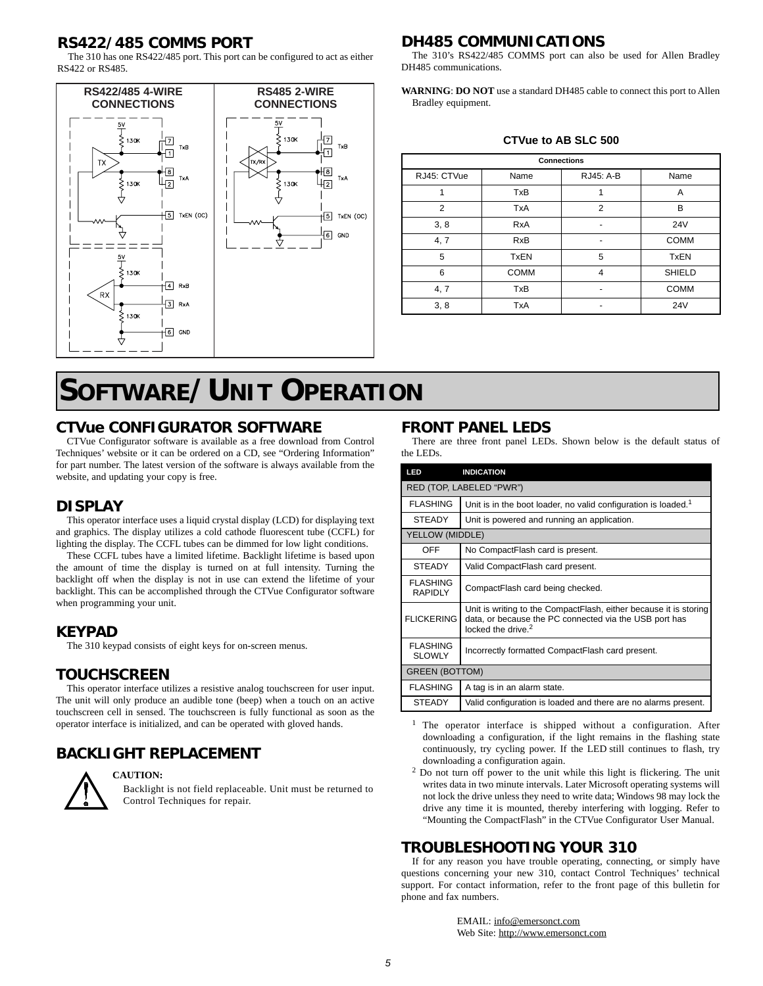#### **RS422/485 COMMS PORT**

The 310 has one RS422/485 port. This port can be configured to act as either RS422 or RS485.



# **SOFTWARE/UNIT OPERATION**

#### **CTVue CONFIGURATOR SOFTWARE**

CTVue Configurator software is available as a free download from Control Techniques' website or it can be ordered on a CD, see "Ordering Information" for part number. The latest version of the software is always available from the website, and updating your copy is free.

#### **DISPLAY**

This operator interface uses a liquid crystal display (LCD) for displaying text and graphics. The display utilizes a cold cathode fluorescent tube (CCFL) for lighting the display. The CCFL tubes can be dimmed for low light conditions.

These CCFL tubes have a limited lifetime. Backlight lifetime is based upon the amount of time the display is turned on at full intensity. Turning the backlight off when the display is not in use can extend the lifetime of your backlight. This can be accomplished through the CTVue Configurator software when programming your unit.

#### **KEYPAD**

The 310 keypad consists of eight keys for on-screen menus.

#### **TOUCHSCREEN**

This operator interface utilizes a resistive analog touchscreen for user input. The unit will only produce an audible tone (beep) when a touch on an active touchscreen cell in sensed. The touchscreen is fully functional as soon as the operator interface is initialized, and can be operated with gloved hands.

# **BACKLIGHT REPLACEMENT**



#### **CAUTION:**

Backlight is not field replaceable. Unit must be returned to Control Techniques for repair.

#### **DH485 COMMUNICATIONS**

The 310's RS422/485 COMMS port can also be used for Allen Bradley DH485 communications.

**WARNING**: **DO NOT** use a standard DH485 cable to connect this port to Allen Bradley equipment.

**CTVue to AB SLC 500**

| <b>Connections</b> |             |                |                 |
|--------------------|-------------|----------------|-----------------|
| RJ45: CTVue        | Name        | RJ45: A-B      | Name            |
|                    | <b>TxB</b>  | 1              | A               |
| $\overline{2}$     | <b>TxA</b>  | $\overline{2}$ | в               |
| 3, 8               | <b>RxA</b>  |                | 24 <sub>V</sub> |
| 4, 7               | <b>RxB</b>  |                | <b>COMM</b>     |
| 5                  | <b>TxEN</b> | 5              | <b>TxEN</b>     |
| 6                  | <b>COMM</b> | 4              | <b>SHIELD</b>   |
| 4, 7               | <b>TxB</b>  |                | <b>COMM</b>     |
| 3, 8               | TxA         |                | <b>24V</b>      |

#### **FRONT PANEL LEDS**

There are three front panel LEDs. Shown below is the default status of the LEDs.

| <b>LED</b>                        | <b>INDICATION</b>                                                                                                                                             |
|-----------------------------------|---------------------------------------------------------------------------------------------------------------------------------------------------------------|
|                                   | RED (TOP, LABELED "PWR")                                                                                                                                      |
| <b>FLASHING</b>                   | Unit is in the boot loader, no valid configuration is loaded. <sup>1</sup>                                                                                    |
| <b>STEADY</b>                     | Unit is powered and running an application.                                                                                                                   |
| YELLOW (MIDDLE)                   |                                                                                                                                                               |
| OFF                               | No CompactFlash card is present.                                                                                                                              |
| <b>STEADY</b>                     | Valid CompactFlash card present.                                                                                                                              |
| <b>FLASHING</b><br><b>RAPIDLY</b> | CompactFlash card being checked.                                                                                                                              |
| <b>FLICKERING</b>                 | Unit is writing to the CompactFlash, either because it is storing<br>data, or because the PC connected via the USB port has<br>locked the drive. <sup>2</sup> |
| <b>FLASHING</b><br><b>SLOWLY</b>  | Incorrectly formatted CompactFlash card present.                                                                                                              |
| <b>GREEN (BOTTOM)</b>             |                                                                                                                                                               |
| <b>FLASHING</b>                   | A tag is in an alarm state.                                                                                                                                   |
| <b>STEADY</b>                     | Valid configuration is loaded and there are no alarms present.                                                                                                |

<sup>1</sup> The operator interface is shipped without a configuration. After downloading a configuration, if the light remains in the flashing state continuously, try cycling power. If the LED still continues to flash, try downloading a configuration again.

<sup>2</sup> Do not turn off power to the unit while this light is flickering. The unit writes data in two minute intervals. Later Microsoft operating systems will not lock the drive unless they need to write data; Windows 98 may lock the drive any time it is mounted, thereby interfering with logging. Refer to "Mounting the CompactFlash" in the CTVue Configurator User Manual.

#### **TROUBLESHOOTING YOUR 310**

If for any reason you have trouble operating, connecting, or simply have questions concerning your new 310, contact Control Techniques' technical support. For contact information, refer to the front page of this bulletin for phone and fax numbers.

> EMAIL: info@emersonct.com Web Site: http://www.emersonct.com